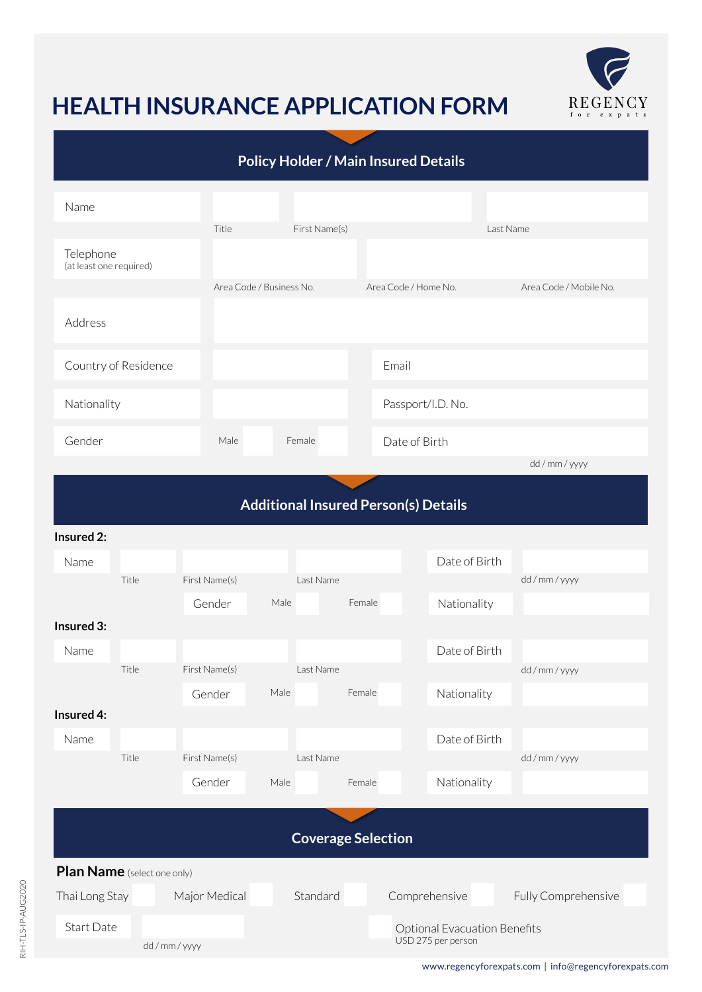

## **HEALTH INSURANCE APPLICATION FORM**

| <b>Policy Holder / Main Insured Details</b> |               |  |                                                           |      |           |                      |                   |               |  |                        |  |
|---------------------------------------------|---------------|--|-----------------------------------------------------------|------|-----------|----------------------|-------------------|---------------|--|------------------------|--|
| Name                                        |               |  |                                                           |      |           |                      |                   |               |  |                        |  |
|                                             |               |  | Title<br>First Name(s)                                    |      |           |                      | Last Name         |               |  |                        |  |
| Telephone<br>(at least one required)        |               |  |                                                           |      |           |                      |                   |               |  |                        |  |
|                                             |               |  | Area Code / Business No.                                  |      |           | Area Code / Home No. |                   |               |  | Area Code / Mobile No. |  |
| Address                                     |               |  |                                                           |      |           |                      |                   |               |  |                        |  |
| Country of Residence                        |               |  |                                                           |      |           |                      | Email             |               |  |                        |  |
| Nationality                                 |               |  |                                                           |      |           |                      | Passport/I.D. No. |               |  |                        |  |
| Gender                                      |               |  | Male                                                      |      | Female    | Date of Birth        |                   |               |  |                        |  |
|                                             |               |  |                                                           |      |           |                      |                   |               |  | dd / mm / yyyy         |  |
| <b>Additional Insured Person(s) Details</b> |               |  |                                                           |      |           |                      |                   |               |  |                        |  |
| Insured 2:                                  |               |  |                                                           |      |           |                      |                   |               |  |                        |  |
| Name                                        | Title         |  | First Name(s)                                             |      | Last Name |                      |                   | Date of Birth |  | dd / mm / yyyy         |  |
|                                             |               |  | Gender                                                    | Male |           | Female               |                   | Nationality   |  |                        |  |
| Insured 3:                                  |               |  |                                                           |      |           |                      |                   |               |  |                        |  |
| Name                                        |               |  |                                                           |      |           |                      |                   | Date of Birth |  |                        |  |
|                                             | Title         |  | First Name(s)                                             |      | Last Name |                      |                   |               |  | dd / mm / yyyy         |  |
|                                             |               |  | Gender                                                    | Male |           | Female               |                   | Nationality   |  |                        |  |
| Insured 4:                                  |               |  |                                                           |      |           |                      |                   |               |  |                        |  |
| Name                                        |               |  |                                                           |      |           |                      |                   | Date of Birth |  |                        |  |
|                                             | Title         |  | First Name(s)                                             |      | Last Name |                      |                   |               |  | dd / mm / yyyy         |  |
|                                             |               |  | Gender                                                    | Male |           | Female               |                   | Nationality   |  |                        |  |
| <b>Coverage Selection</b>                   |               |  |                                                           |      |           |                      |                   |               |  |                        |  |
| Plan Name (select one only)                 |               |  |                                                           |      |           |                      |                   |               |  |                        |  |
| Thai Long Stay                              |               |  | Major Medical                                             |      | Standard  |                      | Comprehensive     |               |  | Fully Comprehensive    |  |
| Start Date                                  | dd / mm / www |  | <b>Optional Evacuation Benefits</b><br>USD 275 per person |      |           |                      |                   |               |  |                        |  |

dd / mm / yyyy